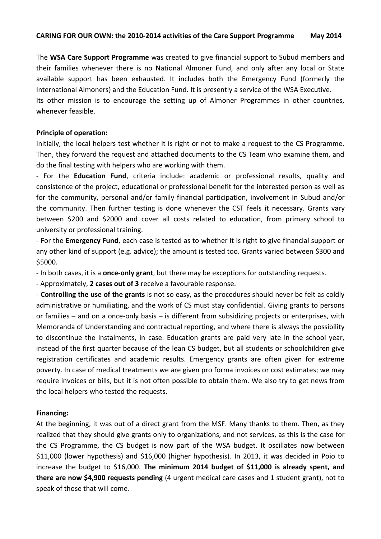The **WSA Care Support Programme** was created to give financial support to Subud members and their families whenever there is no National Almoner Fund, and only after any local or State available support has been exhausted. It includes both the Emergency Fund (formerly the International Almoners) and the Education Fund. It is presently a service of the WSA Executive.

Its other mission is to encourage the setting up of Almoner Programmes in other countries, whenever feasible.

### **Principle of operation:**

Initially, the local helpers test whether it is right or not to make a request to the CS Programme. Then, they forward the request and attached documents to the CS Team who examine them, and do the final testing with helpers who are working with them.

- For the **Education Fund**, criteria include: academic or professional results, quality and consistence of the project, educational or professional benefit for the interested person as well as for the community, personal and/or family financial participation, involvement in Subud and/or the community. Then further testing is done whenever the CST feels it necessary. Grants vary between \$200 and \$2000 and cover all costs related to education, from primary school to university or professional training.

- For the **Emergency Fund**, each case is tested as to whether it is right to give financial support or any other kind of support (e.g. advice); the amount is tested too. Grants varied between \$300 and \$5000.

- In both cases, it is a **once-only grant**, but there may be exceptions for outstanding requests.

- Approximately, **2 cases out of 3** receive a favourable response.

- **Controlling the use of the grants** is not so easy, as the procedures should never be felt as coldly administrative or humiliating, and the work of CS must stay confidential. Giving grants to persons or families – and on a once-only basis – is different from subsidizing projects or enterprises, with Memoranda of Understanding and contractual reporting, and where there is always the possibility to discontinue the instalments, in case. Education grants are paid very late in the school year, instead of the first quarter because of the lean CS budget, but all students or schoolchildren give registration certificates and academic results. Emergency grants are often given for extreme poverty. In case of medical treatments we are given pro forma invoices or cost estimates; we may require invoices or bills, but it is not often possible to obtain them. We also try to get news from the local helpers who tested the requests.

### **Financing:**

At the beginning, it was out of a direct grant from the MSF. Many thanks to them. Then, as they realized that they should give grants only to organizations, and not services, as this is the case for the CS Programme, the CS budget is now part of the WSA budget. It oscillates now between \$11,000 (lower hypothesis) and \$16,000 (higher hypothesis). In 2013, it was decided in Poio to increase the budget to \$16,000. **The minimum 2014 budget of \$11,000 is already spent, and there are now \$4,900 requests pending** (4 urgent medical care cases and 1 student grant), not to speak of those that will come.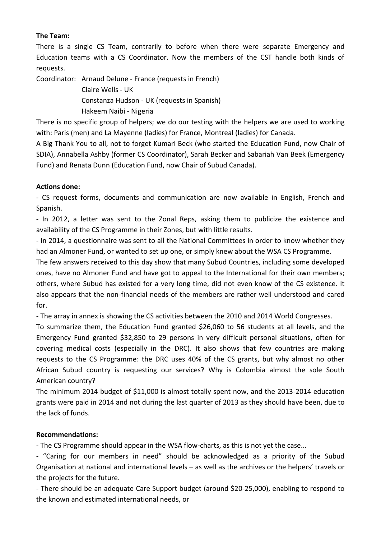# **The Team:**

There is a single CS Team, contrarily to before when there were separate Emergency and Education teams with a CS Coordinator. Now the members of the CST handle both kinds of requests.

Coordinator: Arnaud Delune - France (requests in French)

Claire Wells - UK Constanza Hudson - UK (requests in Spanish) Hakeem Naibi - Nigeria

There is no specific group of helpers; we do our testing with the helpers we are used to working with: Paris (men) and La Mayenne (ladies) for France, Montreal (ladies) for Canada.

A Big Thank You to all, not to forget Kumari Beck (who started the Education Fund, now Chair of SDIA), Annabella Ashby (former CS Coordinator), Sarah Becker and Sabariah Van Beek (Emergency Fund) and Renata Dunn (Education Fund, now Chair of Subud Canada).

# **Actions done:**

- CS request forms, documents and communication are now available in English, French and Spanish.

- In 2012, a letter was sent to the Zonal Reps, asking them to publicize the existence and availability of the CS Programme in their Zones, but with little results.

- In 2014, a questionnaire was sent to all the National Committees in order to know whether they had an Almoner Fund, or wanted to set up one, or simply knew about the WSA CS Programme.

The few answers received to this day show that many Subud Countries, including some developed ones, have no Almoner Fund and have got to appeal to the International for their own members; others, where Subud has existed for a very long time, did not even know of the CS existence. It also appears that the non-financial needs of the members are rather well understood and cared for.

- The array in annex is showing the CS activities between the 2010 and 2014 World Congresses.

To summarize them, the Education Fund granted \$26,060 to 56 students at all levels, and the Emergency Fund granted \$32,850 to 29 persons in very difficult personal situations, often for covering medical costs (especially in the DRC). It also shows that few countries are making requests to the CS Programme: the DRC uses 40% of the CS grants, but why almost no other African Subud country is requesting our services? Why is Colombia almost the sole South American country?

The minimum 2014 budget of \$11,000 is almost totally spent now, and the 2013-2014 education grants were paid in 2014 and not during the last quarter of 2013 as they should have been, due to the lack of funds.

# **Recommendations:**

- The CS Programme should appear in the WSA flow-charts, as this is not yet the case...

- "Caring for our members in need" should be acknowledged as a priority of the Subud Organisation at national and international levels – as well as the archives or the helpers' travels or the projects for the future.

- There should be an adequate Care Support budget (around \$20-25,000), enabling to respond to the known and estimated international needs, or